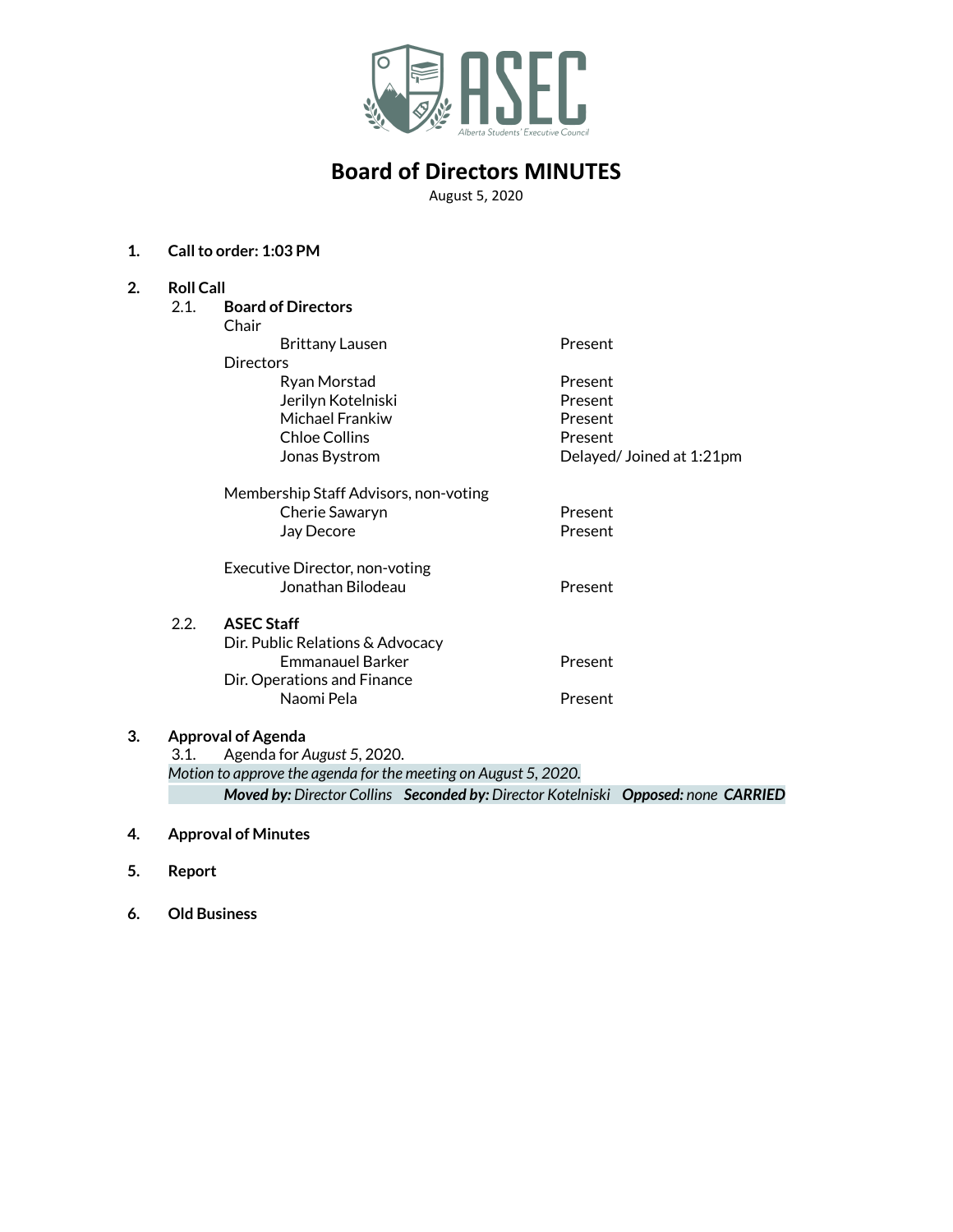

# **Board of Directors MINUTES**

August 5, 2020

## **1. Callto order: 1:03 PM**

| 2.                                                              | <b>Roll Call</b>          |                                       |                          |  |
|-----------------------------------------------------------------|---------------------------|---------------------------------------|--------------------------|--|
|                                                                 | 2.1.                      | <b>Board of Directors</b>             |                          |  |
|                                                                 |                           | Chair                                 |                          |  |
|                                                                 |                           | <b>Brittany Lausen</b>                | Present                  |  |
|                                                                 |                           | <b>Directors</b>                      |                          |  |
|                                                                 |                           | Ryan Morstad                          | Present                  |  |
|                                                                 |                           | Jerilyn Kotelniski                    | Present                  |  |
|                                                                 |                           | Michael Frankiw                       | Present                  |  |
|                                                                 |                           | <b>Chloe Collins</b>                  | Present                  |  |
|                                                                 |                           | Jonas Bystrom                         | Delayed/Joined at 1:21pm |  |
|                                                                 |                           | Membership Staff Advisors, non-voting |                          |  |
|                                                                 |                           | Cherie Sawaryn                        | Present                  |  |
|                                                                 |                           | Jay Decore                            | Present                  |  |
|                                                                 |                           | Executive Director, non-voting        |                          |  |
|                                                                 |                           | Jonathan Bilodeau                     | Present                  |  |
|                                                                 | 2.2.                      | <b>ASEC Staff</b>                     |                          |  |
|                                                                 |                           | Dir. Public Relations & Advocacy      |                          |  |
|                                                                 |                           | <b>Fmmanauel Barker</b>               | Present                  |  |
|                                                                 |                           | Dir. Operations and Finance           |                          |  |
|                                                                 |                           | Naomi Pela                            | Present                  |  |
| 3.                                                              | <b>Approval of Agenda</b> |                                       |                          |  |
|                                                                 | 3.1.                      | Agenda for August 5, 2020.            |                          |  |
| Motion to approve the agenda for the meeting on August 5, 2020. |                           |                                       |                          |  |

*Moved by: Director Collins Seconded by: Director Kotelniski Opposed: none CARRIED*

## **4. Approval of Minutes**

- **5. Report**
- **6. Old Business**